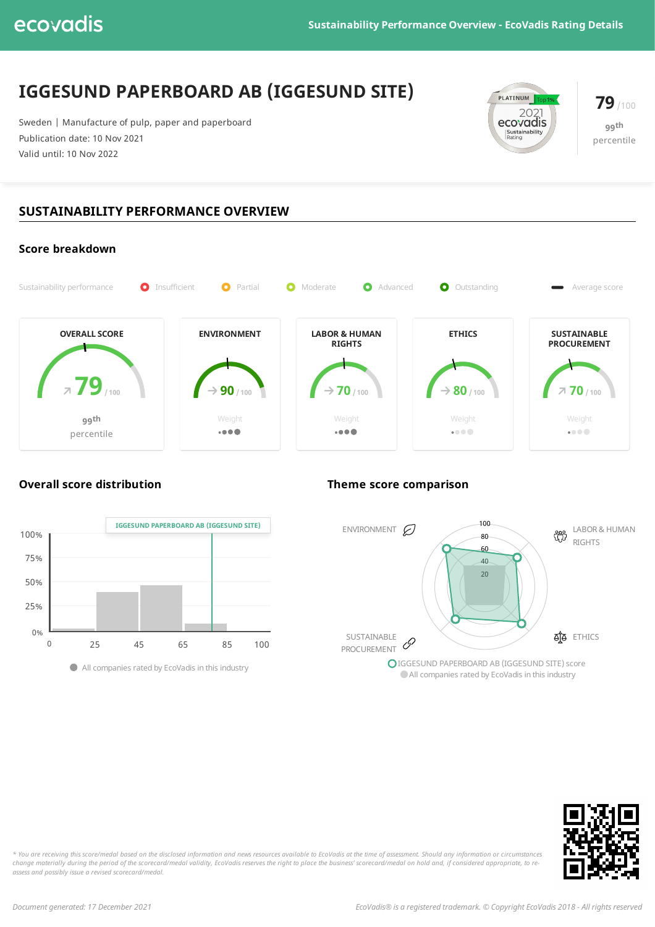# **IGGESUND PAPERBOARD AB (IGGESUND SITE)**

Sweden | Manufacture of pulp, paper and paperboard Publication date: 10 Nov 2021 Valid until: 10 Nov 2022



**79**/100 **99 th** percentile

## **SUSTAINABILITY PERFORMANCE OVERVIEW**



### **Overall score distribution Theme score comparison**







\* You are receiving this score/medal based on the disclosed information and news resources available to EcoVadis at the time of assessment. Should any information or circumstances change materially during the period of the scorecard/medal validity, EcoVadis reserves the right to place the business' scorecard/medal on hold and, if considered appropriate, to re*assess and possibly issue a revised scorecard/medal.*